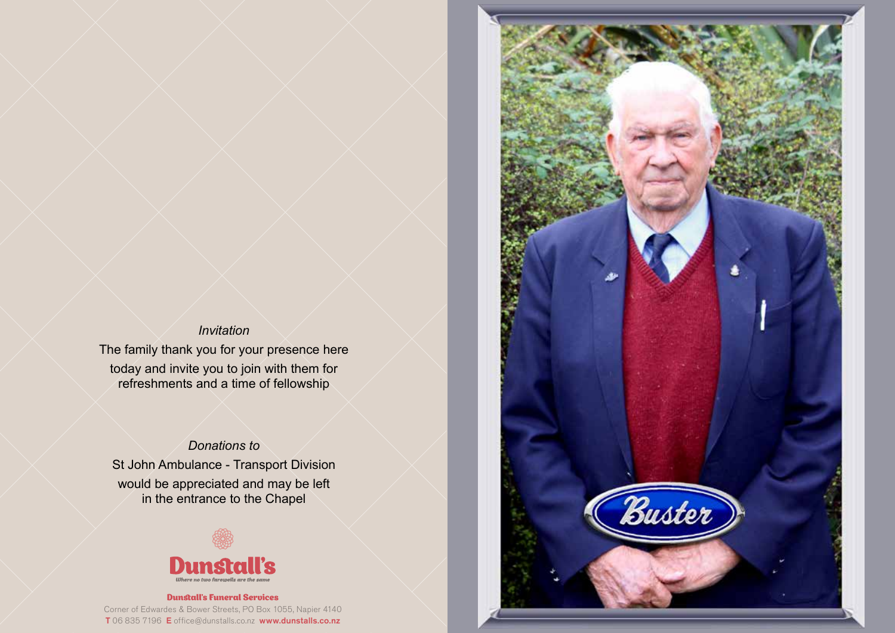#### *Invitation*

The family thank you for your presence here today and invite you to join with them for refreshments and a time of fellowship

# *Donations to*

St John Ambulance - Transport Division would be appreciated and may be left in the entrance to the Chapel



#### Dunstall's Funeral Services Corner of Edwardes & Bower Streets, PO Box 1055, Napier 4140 T 06 835 7196 E office@dunstalls.co.nz www.dunstalls.co.nz